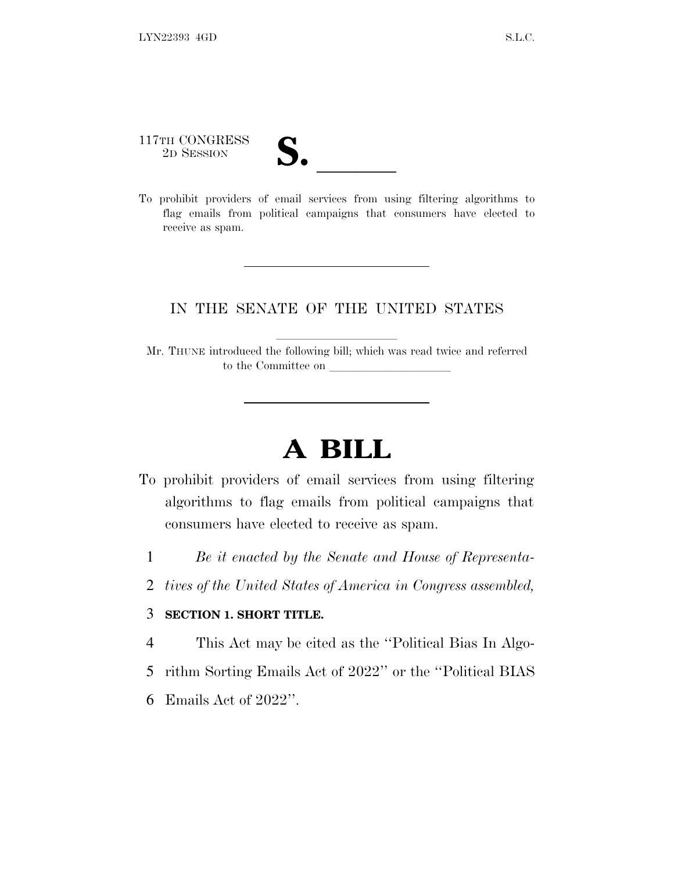117TH CONGRESS

- 
- 117TH CONGRESS<br>
2D SESSION<br>
To prohibit providers of email services from using filtering algorithms to flag emails from political campaigns that consumers have elected to receive as spam.

## IN THE SENATE OF THE UNITED STATES

Mr. THUNE introduced the following bill; which was read twice and referred to the Committee on

## **A BILL**

- To prohibit providers of email services from using filtering algorithms to flag emails from political campaigns that consumers have elected to receive as spam.
	- 1 *Be it enacted by the Senate and House of Representa-*
	- 2 *tives of the United States of America in Congress assembled,*

## 3 **SECTION 1. SHORT TITLE.**

4 This Act may be cited as the ''Political Bias In Algo-

- 5 rithm Sorting Emails Act of 2022'' or the ''Political BIAS
- 6 Emails Act of 2022''.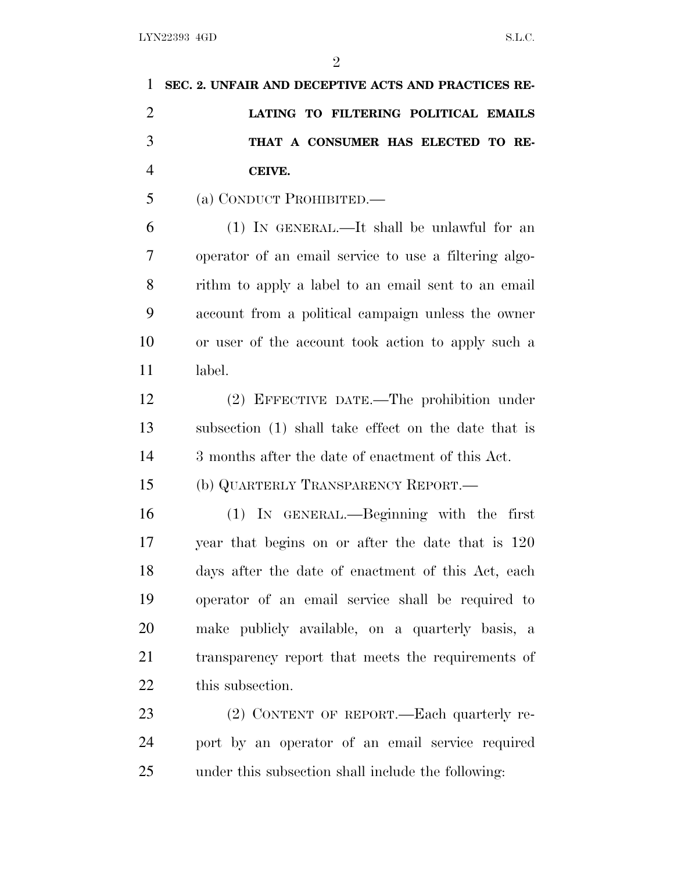| 1              | SEC. 2. UNFAIR AND DECEPTIVE ACTS AND PRACTICES RE-   |
|----------------|-------------------------------------------------------|
| $\overline{2}$ | LATING TO FILTERING POLITICAL EMAILS                  |
| 3              | THAT A CONSUMER HAS ELECTED TO RE-                    |
| $\overline{4}$ | CEIVE.                                                |
| 5              | (a) CONDUCT PROHIBITED.                               |
| 6              | $(1)$ In GENERAL.—It shall be unlawful for an         |
| 7              | operator of an email service to use a filtering algo- |
| 8              | rithm to apply a label to an email sent to an email   |
| 9              | account from a political campaign unless the owner    |
| 10             | or user of the account took action to apply such a    |
| 11             | label.                                                |
| 12             | (2) EFFECTIVE DATE.—The prohibition under             |
| 13             | subsection (1) shall take effect on the date that is  |
| 14             | 3 months after the date of enactment of this Act.     |
| 15             | (b) QUARTERLY TRANSPARENCY REPORT.—                   |
| 16             | (1) IN GENERAL.—Beginning with the first              |
| 17             | year that begins on or after the date that is 120     |
| 18             | days after the date of enactment of this Act, each    |
| 19             | operator of an email service shall be required to     |
| 20             | make publicly available, on a quarterly basis, a      |
| 21             | transparency report that meets the requirements of    |
| 22             | this subsection.                                      |
| 23             | (2) CONTENT OF REPORT.—Each quarterly re-             |
| 24             | port by an operator of an email service required      |
| 25             | under this subsection shall include the following:    |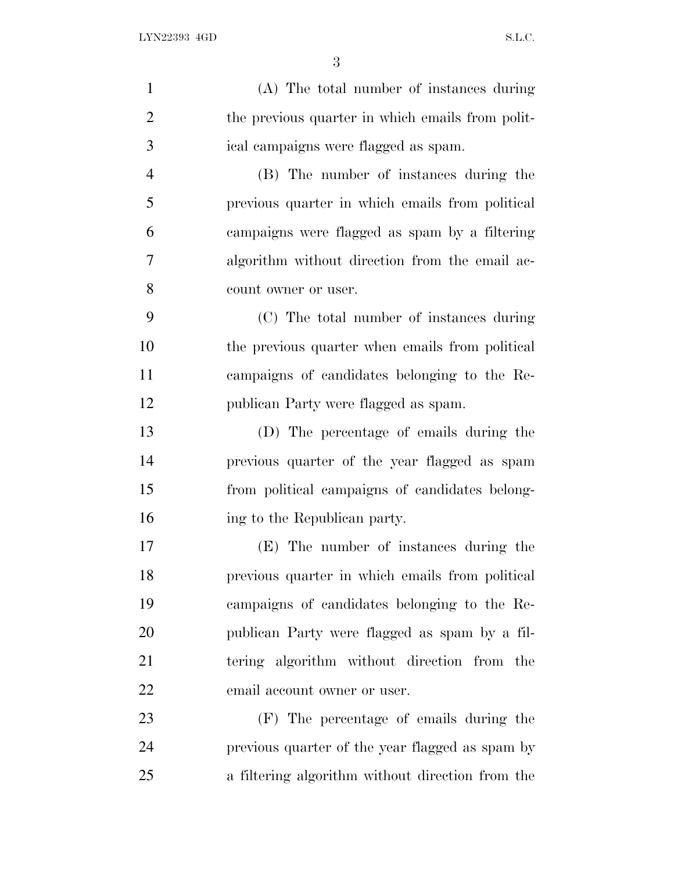| $\mathbf{1}$   | (A) The total number of instances during         |
|----------------|--------------------------------------------------|
| $\overline{2}$ | the previous quarter in which emails from polit- |
| 3              | ical campaigns were flagged as spam.             |
| $\overline{4}$ | (B) The number of instances during the           |
| 5              | previous quarter in which emails from political  |
| 6              | campaigns were flagged as spam by a filtering    |
| 7              | algorithm without direction from the email ac-   |
| 8              | count owner or user.                             |
| 9              | (C) The total number of instances during         |
| 10             | the previous quarter when emails from political  |
| 11             | campaigns of candidates belonging to the Re-     |
| 12             | publican Party were flagged as spam.             |
| 13             | (D) The percentage of emails during the          |
| 14             | previous quarter of the year flagged as spam     |
| 15             | from political campaigns of candidates belong-   |
| 16             | ing to the Republican party.                     |
| 17             | (E) The number of instances during the           |
| 18             | previous quarter in which emails from political  |
| 19             | campaigns of candidates belonging to the Re-     |
| 20             | publican Party were flagged as spam by a fil-    |
| 21             | tering algorithm without direction from the      |
| 22             | email account owner or user.                     |
| 23             | (F) The percentage of emails during the          |
| 24             | previous quarter of the year flagged as spam by  |
| 25             | a filtering algorithm without direction from the |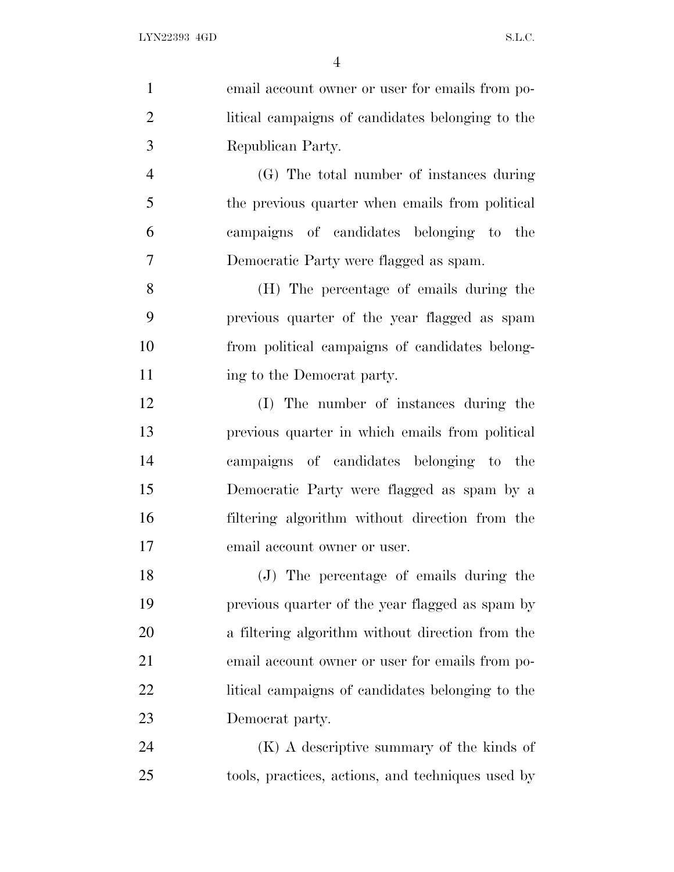| $\mathbf{1}$   | email account owner or user for emails from po-   |
|----------------|---------------------------------------------------|
| $\overline{2}$ | litical campaigns of candidates belonging to the  |
| 3              | Republican Party.                                 |
| $\overline{4}$ | (G) The total number of instances during          |
| 5              | the previous quarter when emails from political   |
| 6              | campaigns of candidates belonging to the          |
| 7              | Democratic Party were flagged as spam.            |
| 8              | (H) The percentage of emails during the           |
| 9              | previous quarter of the year flagged as spam      |
| 10             | from political campaigns of candidates belong-    |
| 11             | ing to the Democrat party.                        |
| 12             | (I) The number of instances during the            |
| 13             | previous quarter in which emails from political   |
| 14             | campaigns of candidates belonging to the          |
| 15             | Democratic Party were flagged as spam by a        |
| 16             | filtering algorithm without direction from the    |
| 17             | email account owner or user.                      |
| 18             | (J) The percentage of emails during the           |
| 19             | previous quarter of the year flagged as spam by   |
| 20             | a filtering algorithm without direction from the  |
| 21             | email account owner or user for emails from po-   |
| 22             | litical campaigns of candidates belonging to the  |
| 23             | Democrat party.                                   |
| 24             | $(K)$ A descriptive summary of the kinds of       |
| 25             | tools, practices, actions, and techniques used by |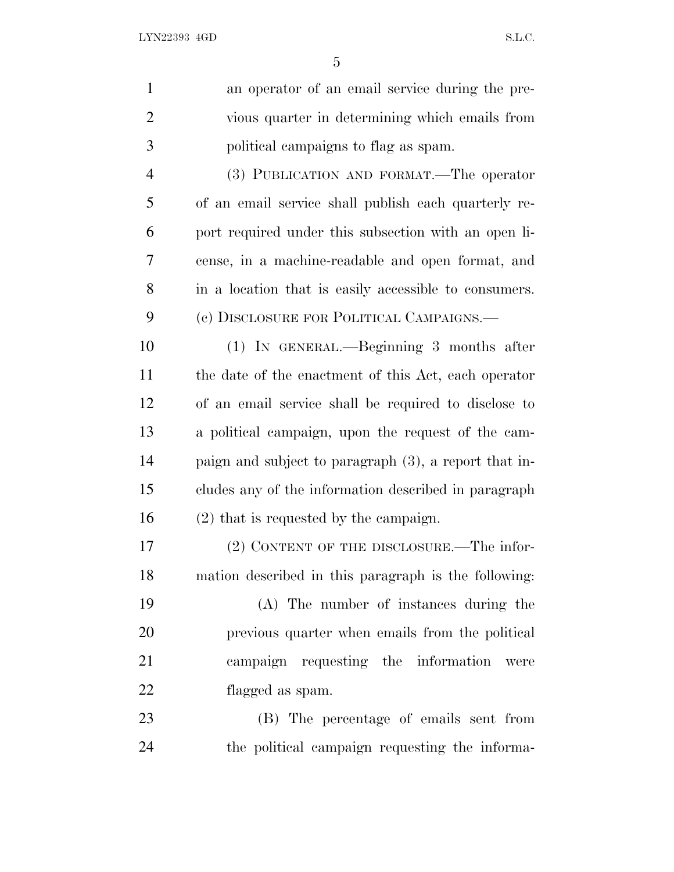| $\mathbf{1}$   | an operator of an email service during the pre-       |
|----------------|-------------------------------------------------------|
| $\overline{2}$ | vious quarter in determining which emails from        |
| 3              | political campaigns to flag as spam.                  |
| $\overline{4}$ | (3) PUBLICATION AND FORMAT.—The operator              |
| 5              | of an email service shall publish each quarterly re-  |
| 6              | port required under this subsection with an open li-  |
| 7              | cense, in a machine-readable and open format, and     |
| 8              | in a location that is easily accessible to consumers. |
| 9              | (c) DISCLOSURE FOR POLITICAL CAMPAIGNS.—              |
| 10             | (1) IN GENERAL.—Beginning 3 months after              |
| 11             | the date of the enactment of this Act, each operator  |
| 12             | of an email service shall be required to disclose to  |
| 13             | a political campaign, upon the request of the cam-    |
| 14             | paign and subject to paragraph (3), a report that in- |
| 15             | cludes any of the information described in paragraph  |
| 16             | $(2)$ that is requested by the campaign.              |
| 17             | (2) CONTENT OF THE DISCLOSURE.—The infor-             |
| 18             | mation described in this paragraph is the following:  |
| 19             | (A) The number of instances during the                |
| 20             | previous quarter when emails from the political       |
| 21             | campaign requesting the information<br>were           |
| 22             | flagged as spam.                                      |
| 23             | (B) The percentage of emails sent from                |
| 24             | the political campaign requesting the informa-        |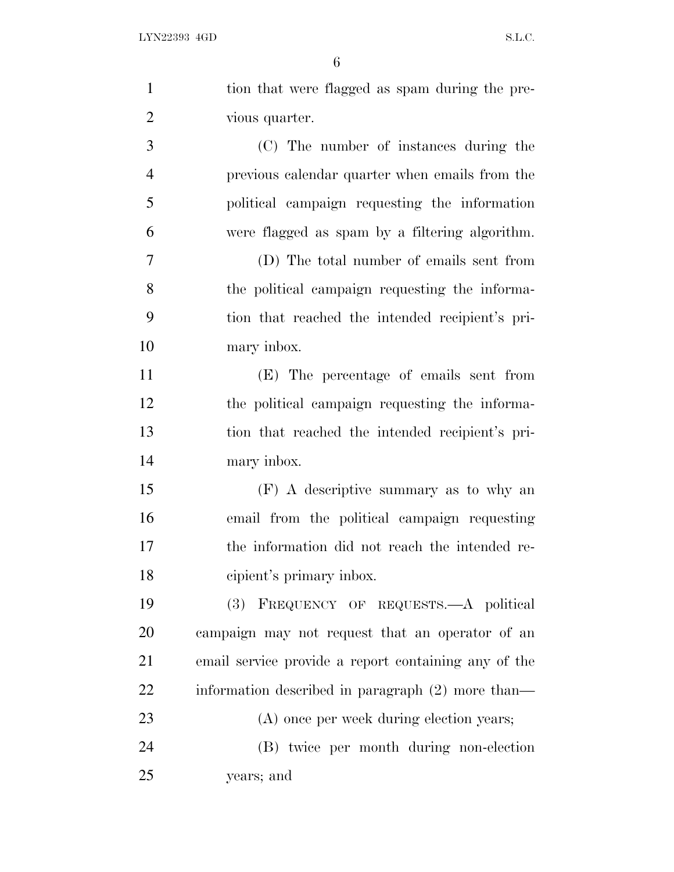| $\mathbf{1}$   | tion that were flagged as spam during the pre-       |
|----------------|------------------------------------------------------|
| $\overline{2}$ | vious quarter.                                       |
| 3              | (C) The number of instances during the               |
| $\overline{4}$ | previous calendar quarter when emails from the       |
| 5              | political campaign requesting the information        |
| 6              | were flagged as spam by a filtering algorithm.       |
| $\overline{7}$ | (D) The total number of emails sent from             |
| 8              | the political campaign requesting the informa-       |
| 9              | tion that reached the intended recipient's pri-      |
| 10             | mary inbox.                                          |
| 11             | (E) The percentage of emails sent from               |
| 12             | the political campaign requesting the informa-       |
| 13             | tion that reached the intended recipient's pri-      |
| 14             | mary inbox.                                          |
| 15             | (F) A descriptive summary as to why an               |
| 16             | email from the political campaign requesting         |
| 17             | the information did not reach the intended re-       |
| 18             | cipient's primary inbox.                             |
| 19             | (3) FREQUENCY OF REQUESTS. A political               |
| 20             | campaign may not request that an operator of an      |
| 21             | email service provide a report containing any of the |
| 22             | information described in paragraph (2) more than—    |
| 23             | (A) once per week during election years;             |
| 24             | (B) twice per month during non-election              |
| 25             | years; and                                           |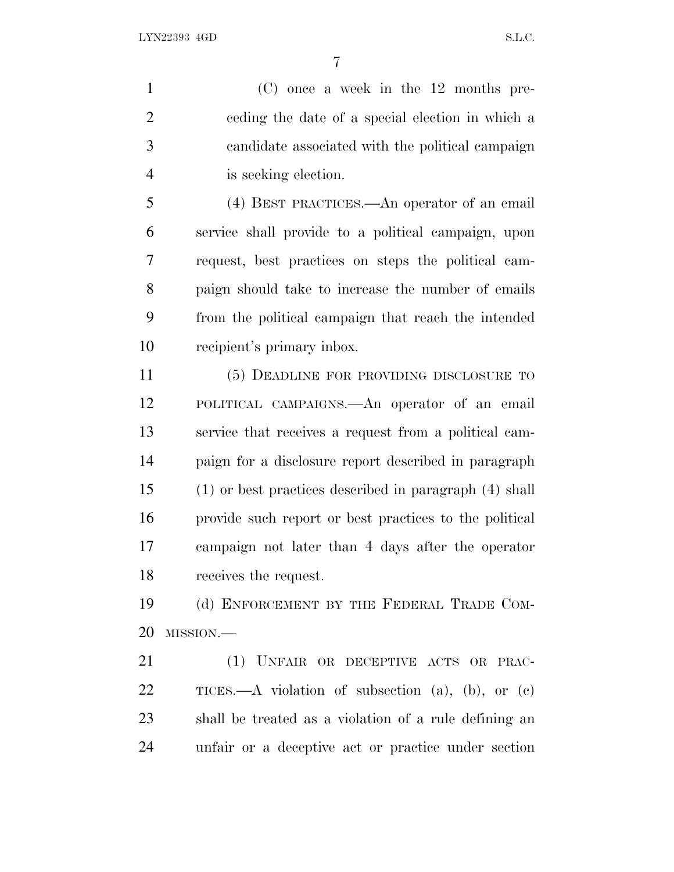(C) once a week in the 12 months pre- ceding the date of a special election in which a candidate associated with the political campaign is seeking election.

 (4) BEST PRACTICES.—An operator of an email service shall provide to a political campaign, upon request, best practices on steps the political cam- paign should take to increase the number of emails from the political campaign that reach the intended recipient's primary inbox.

 (5) DEADLINE FOR PROVIDING DISCLOSURE TO POLITICAL CAMPAIGNS.—An operator of an email service that receives a request from a political cam- paign for a disclosure report described in paragraph (1) or best practices described in paragraph (4) shall provide such report or best practices to the political campaign not later than 4 days after the operator receives the request.

 (d) ENFORCEMENT BY THE FEDERAL TRADE COM-MISSION.—

 (1) UNFAIR OR DECEPTIVE ACTS OR PRAC- TICES.—A violation of subsection (a), (b), or (c) shall be treated as a violation of a rule defining an unfair or a deceptive act or practice under section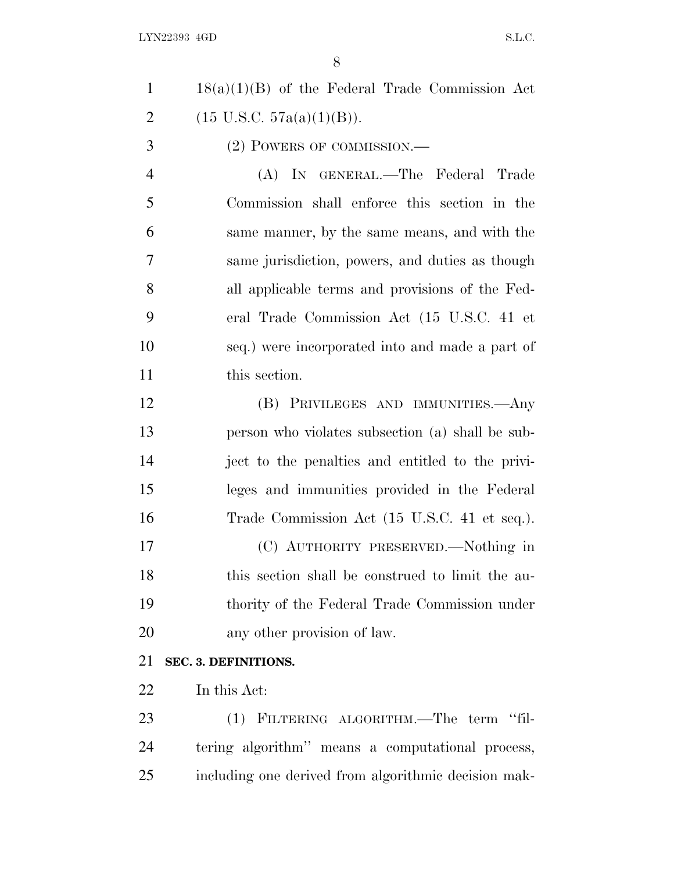LYN22393 4GD S.L.C.

| $18(a)(1)(B)$ of the Federal Trade Commission Act |
|---------------------------------------------------|
| $(15 \text{ U.S.C. } 57a(a)(1)(B)).$              |

(2) POWERS OF COMMISSION.—

 (A) IN GENERAL.—The Federal Trade Commission shall enforce this section in the same manner, by the same means, and with the same jurisdiction, powers, and duties as though all applicable terms and provisions of the Fed- eral Trade Commission Act (15 U.S.C. 41 et seq.) were incorporated into and made a part of 11 this section.

 (B) PRIVILEGES AND IMMUNITIES.—Any person who violates subsection (a) shall be sub- ject to the penalties and entitled to the privi- leges and immunities provided in the Federal Trade Commission Act (15 U.S.C. 41 et seq.). (C) AUTHORITY PRESERVED.—Nothing in this section shall be construed to limit the au- thority of the Federal Trade Commission under any other provision of law.

## **SEC. 3. DEFINITIONS.**

In this Act:

23 (1) FILTERING ALGORITHM.—The term "fil- tering algorithm'' means a computational process, including one derived from algorithmic decision mak-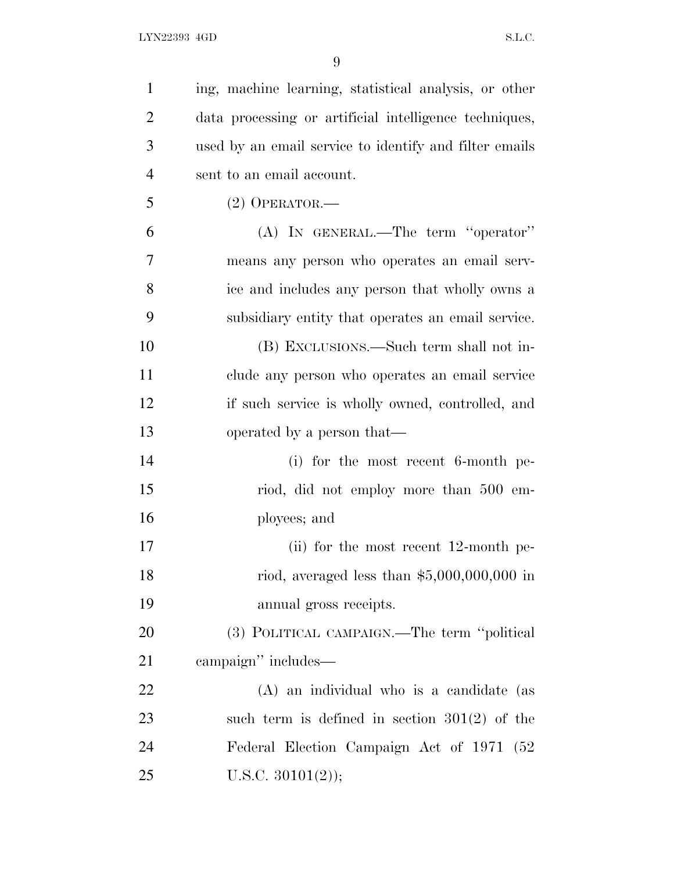| $\mathbf{1}$   | ing, machine learning, statistical analysis, or other  |
|----------------|--------------------------------------------------------|
| $\overline{2}$ | data processing or artificial intelligence techniques, |
| 3              | used by an email service to identify and filter emails |
| $\overline{4}$ | sent to an email account.                              |
| 5              | $(2)$ OPERATOR.—                                       |
| 6              | (A) IN GENERAL.—The term "operator"                    |
| $\overline{7}$ | means any person who operates an email serv-           |
| 8              | ice and includes any person that wholly owns a         |
| 9              | subsidiary entity that operates an email service.      |
| 10             | (B) EXCLUSIONS.—Such term shall not in-                |
| 11             | clude any person who operates an email service         |
| 12             | if such service is wholly owned, controlled, and       |
| 13             | operated by a person that—                             |
| 14             | (i) for the most recent $6$ -month pe-                 |
| 15             | riod, did not employ more than 500 em-                 |
| 16             | ployees; and                                           |
| 17             | (ii) for the most recent $12$ -month pe-               |
| 18             | riod, averaged less than $$5,000,000,000$ in           |
| 19             | annual gross receipts.                                 |
| <b>20</b>      | (3) POLITICAL CAMPAIGN.—The term "political            |
| 21             | campaign" includes—                                    |
| 22             | (A) an individual who is a candidate (as               |
| 23             | such term is defined in section $301(2)$ of the        |
| 24             | Federal Election Campaign Act of 1971 (52)             |
| 25             | U.S.C. $30101(2)$ ;                                    |